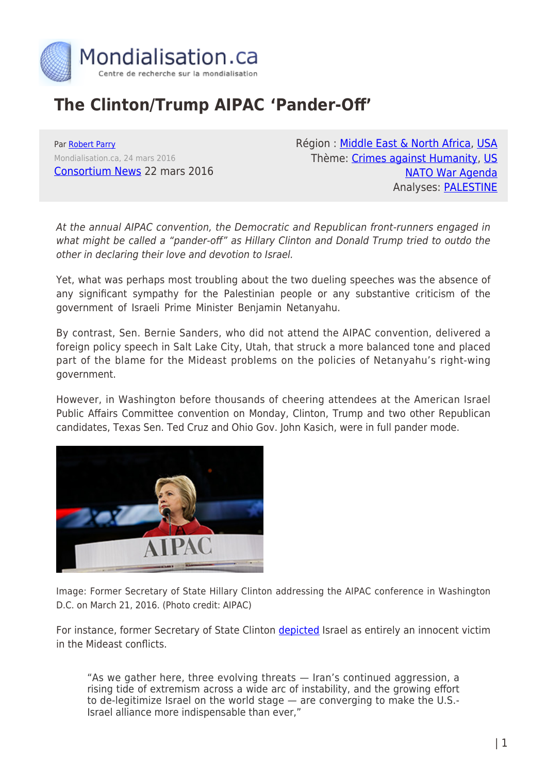

## **The Clinton/Trump AIPAC 'Pander-Off'**

Par [Robert Parry](https://www.mondialisation.ca/author/robert-parry) Mondialisation.ca, 24 mars 2016 [Consortium News](https://consortiumnews.com/2016/03/22/the-clintontrump-aipac-pander-off/) 22 mars 2016 Région : [Middle East & North Africa,](https://www.mondialisation.ca/region/middle-east) [USA](https://www.mondialisation.ca/region/usa) Thème: [Crimes against Humanity,](https://www.mondialisation.ca/theme/crimes-against-humanity) [US](https://www.mondialisation.ca/theme/us-nato-war-agenda) [NATO War Agenda](https://www.mondialisation.ca/theme/us-nato-war-agenda) Analyses: [PALESTINE](https://www.mondialisation.ca/indepthreport/palestine)

At the annual AIPAC convention, the Democratic and Republican front-runners engaged in what might be called a "pander-off" as Hillary Clinton and Donald Trump tried to outdo the other in declaring their love and devotion to Israel.

Yet, what was perhaps most troubling about the two dueling speeches was the absence of any significant sympathy for the Palestinian people or any substantive criticism of the government of Israeli Prime Minister Benjamin Netanyahu.

By contrast, Sen. Bernie Sanders, who did not attend the AIPAC convention, delivered a foreign policy speech in Salt Lake City, Utah, that struck a more balanced tone and placed part of the blame for the Mideast problems on the policies of Netanyahu's right-wing government.

However, in Washington before thousands of cheering attendees at the American Israel Public Affairs Committee convention on Monday, Clinton, Trump and two other Republican candidates, Texas Sen. Ted Cruz and Ohio Gov. John Kasich, were in full pander mode.



Image: Former Secretary of State Hillary Clinton addressing the AIPAC conference in Washington D.C. on March 21, 2016. (Photo credit: AIPAC)

For instance, former Secretary of State Clinton [depicted](http://time.com/4265947/hillary-clinton-aipac-speech-transcript/) Israel as entirely an innocent victim in the Mideast conflicts.

"As we gather here, three evolving threats — Iran's continued aggression, a rising tide of extremism across a wide arc of instability, and the growing effort to de-legitimize Israel on the world stage — are converging to make the U.S.- Israel alliance more indispensable than ever,"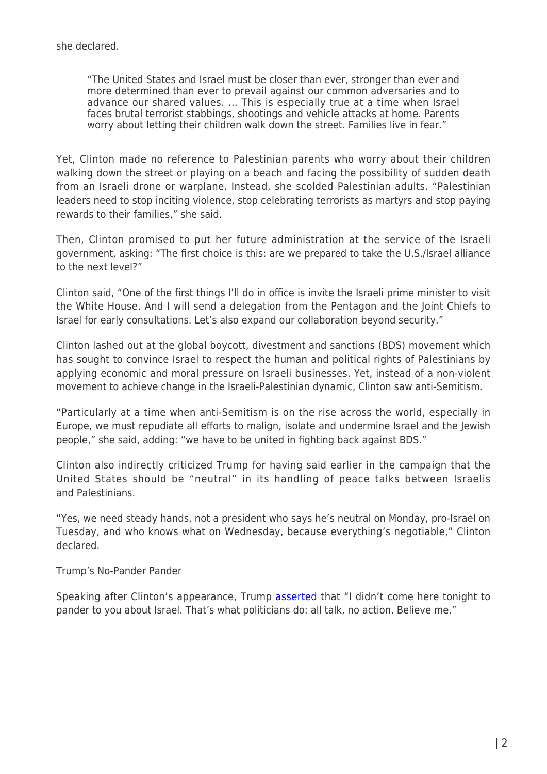"The United States and Israel must be closer than ever, stronger than ever and more determined than ever to prevail against our common adversaries and to advance our shared values. … This is especially true at a time when Israel faces brutal terrorist stabbings, shootings and vehicle attacks at home. Parents worry about letting their children walk down the street. Families live in fear."

Yet, Clinton made no reference to Palestinian parents who worry about their children walking down the street or playing on a beach and facing the possibility of sudden death from an Israeli drone or warplane. Instead, she scolded Palestinian adults. "Palestinian leaders need to stop inciting violence, stop celebrating terrorists as martyrs and stop paying rewards to their families," she said.

Then, Clinton promised to put her future administration at the service of the Israeli government, asking: "The first choice is this: are we prepared to take the U.S./Israel alliance to the next level?"

Clinton said, "One of the first things I'll do in office is invite the Israeli prime minister to visit the White House. And I will send a delegation from the Pentagon and the Joint Chiefs to Israel for early consultations. Let's also expand our collaboration beyond security."

Clinton lashed out at the global boycott, divestment and sanctions (BDS) movement which has sought to convince Israel to respect the human and political rights of Palestinians by applying economic and moral pressure on Israeli businesses. Yet, instead of a non-violent movement to achieve change in the Israeli-Palestinian dynamic, Clinton saw anti-Semitism.

"Particularly at a time when anti-Semitism is on the rise across the world, especially in Europe, we must repudiate all efforts to malign, isolate and undermine Israel and the Jewish people," she said, adding: "we have to be united in fighting back against BDS."

Clinton also indirectly criticized Trump for having said earlier in the campaign that the United States should be "neutral" in its handling of peace talks between Israelis and Palestinians.

"Yes, we need steady hands, not a president who says he's neutral on Monday, pro-Israel on Tuesday, and who knows what on Wednesday, because everything's negotiable," Clinton declared.

Trump's No-Pander Pander

Speaking after Clinton's appearance, Trump **[asserted](http://time.com/4267058/donald-trump-aipac-speech-transcript/)** that "I didn't come here tonight to pander to you about Israel. That's what politicians do: all talk, no action. Believe me."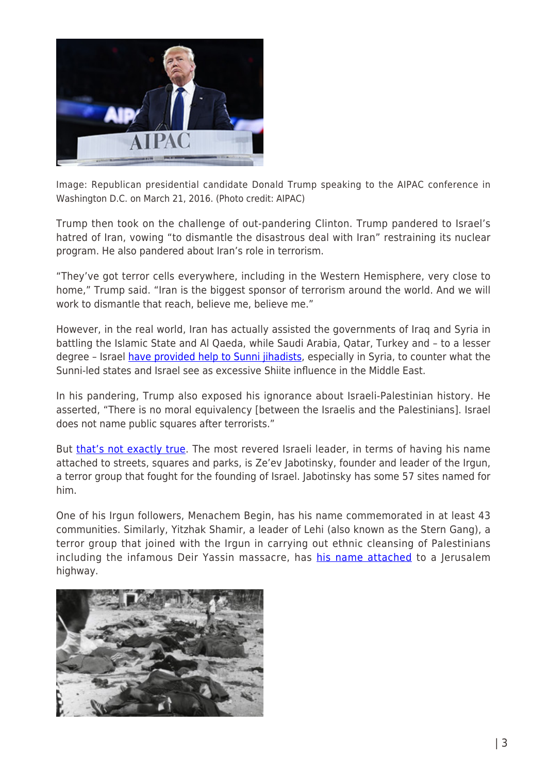

Image: Republican presidential candidate Donald Trump speaking to the AIPAC conference in Washington D.C. on March 21, 2016. (Photo credit: AIPAC)

Trump then took on the challenge of out-pandering Clinton. Trump pandered to Israel's hatred of Iran, vowing "to dismantle the disastrous deal with Iran" restraining its nuclear program. He also pandered about Iran's role in terrorism.

"They've got terror cells everywhere, including in the Western Hemisphere, very close to home," Trump said. "Iran is the biggest sponsor of terrorism around the world. And we will work to dismantle that reach, believe me, believe me."

However, in the real world, Iran has actually assisted the governments of Iraq and Syria in battling the Islamic State and Al Qaeda, while Saudi Arabia, Qatar, Turkey and – to a lesser degree - Israel [have provided help to Sunni jihadists](https://consortiumnews.com/2015/02/04/al-qaeda-saudi-arabia-and-israel/), especially in Syria, to counter what the Sunni-led states and Israel see as excessive Shiite influence in the Middle East.

In his pandering, Trump also exposed his ignorance about Israeli-Palestinian history. He asserted, "There is no moral equivalency [between the Israelis and the Palestinians]. Israel does not name public squares after terrorists."

But [that's not exactly true](http://www.ynetnews.com/articles/0,7340,L-3476622,00.html). The most revered Israeli leader, in terms of having his name attached to streets, squares and parks, is Ze'ev Jabotinsky, founder and leader of the Irgun, a terror group that fought for the founding of Israel. Jabotinsky has some 57 sites named for him.

One of his Irgun followers, Menachem Begin, has his name commemorated in at least 43 communities. Similarly, Yitzhak Shamir, a leader of Lehi (also known as the Stern Gang), a terror group that joined with the Irgun in carrying out ethnic cleansing of Palestinians including the infamous Deir Yassin massacre, has [his name attached](https://electronicintifada.net/content/how-israel-honors-murderers-its-midst/14813) to a Jerusalem highway.

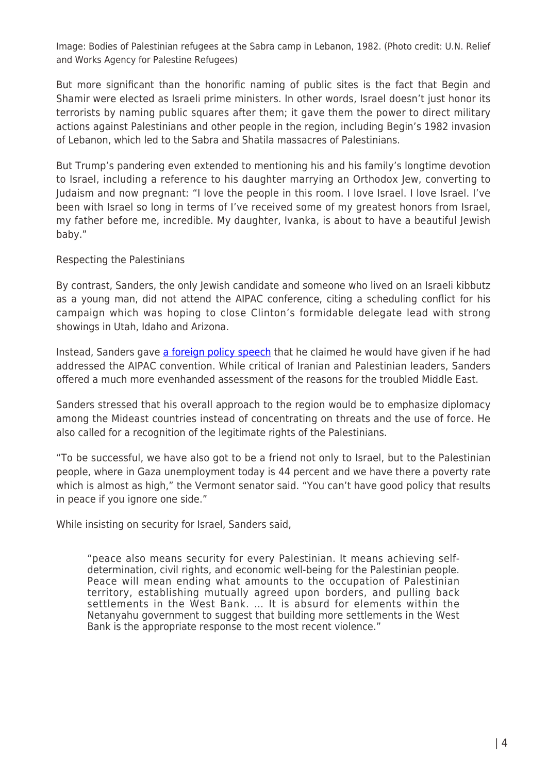Image: Bodies of Palestinian refugees at the Sabra camp in Lebanon, 1982. (Photo credit: U.N. Relief and Works Agency for Palestine Refugees)

But more significant than the honorific naming of public sites is the fact that Begin and Shamir were elected as Israeli prime ministers. In other words, Israel doesn't just honor its terrorists by naming public squares after them; it gave them the power to direct military actions against Palestinians and other people in the region, including Begin's 1982 invasion of Lebanon, which led to the Sabra and Shatila massacres of Palestinians.

But Trump's pandering even extended to mentioning his and his family's longtime devotion to Israel, including a reference to his daughter marrying an Orthodox Jew, converting to Judaism and now pregnant: "I love the people in this room. I love Israel. I love Israel. I've been with Israel so long in terms of I've received some of my greatest honors from Israel, my father before me, incredible. My daughter, Ivanka, is about to have a beautiful Jewish baby."

Respecting the Palestinians

By contrast, Sanders, the only Jewish candidate and someone who lived on an Israeli kibbutz as a young man, did not attend the AIPAC conference, citing a scheduling conflict for his campaign which was hoping to close Clinton's formidable delegate lead with strong showings in Utah, Idaho and Arizona.

Instead, Sanders gave [a foreign policy speech](https://berniesanders.com/sanders-outlines-middle-east-policy/) that he claimed he would have given if he had addressed the AIPAC convention. While critical of Iranian and Palestinian leaders, Sanders offered a much more evenhanded assessment of the reasons for the troubled Middle East.

Sanders stressed that his overall approach to the region would be to emphasize diplomacy among the Mideast countries instead of concentrating on threats and the use of force. He also called for a recognition of the legitimate rights of the Palestinians.

"To be successful, we have also got to be a friend not only to Israel, but to the Palestinian people, where in Gaza unemployment today is 44 percent and we have there a poverty rate which is almost as high," the Vermont senator said. "You can't have good policy that results in peace if you ignore one side."

While insisting on security for Israel, Sanders said,

"peace also means security for every Palestinian. It means achieving selfdetermination, civil rights, and economic well-being for the Palestinian people. Peace will mean ending what amounts to the occupation of Palestinian territory, establishing mutually agreed upon borders, and pulling back settlements in the West Bank. … It is absurd for elements within the Netanyahu government to suggest that building more settlements in the West Bank is the appropriate response to the most recent violence."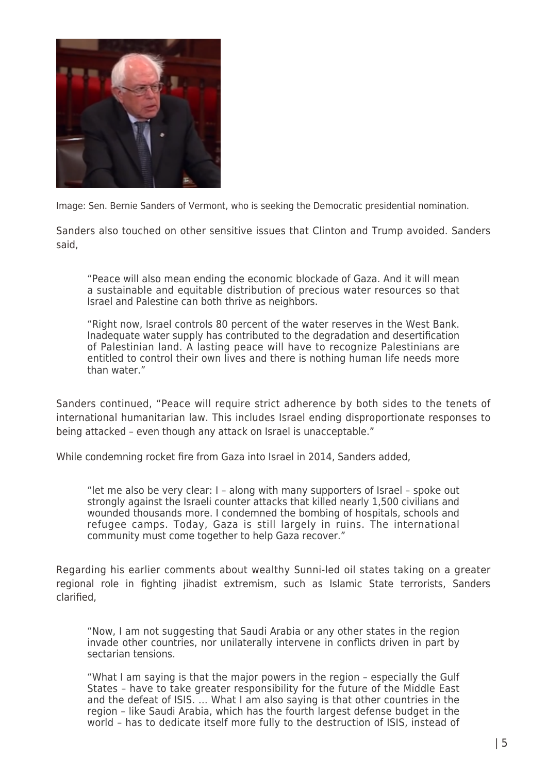

Image: Sen. Bernie Sanders of Vermont, who is seeking the Democratic presidential nomination.

Sanders also touched on other sensitive issues that Clinton and Trump avoided. Sanders said,

"Peace will also mean ending the economic blockade of Gaza. And it will mean a sustainable and equitable distribution of precious water resources so that Israel and Palestine can both thrive as neighbors.

"Right now, Israel controls 80 percent of the water reserves in the West Bank. Inadequate water supply has contributed to the degradation and desertification of Palestinian land. A lasting peace will have to recognize Palestinians are entitled to control their own lives and there is nothing human life needs more than water."

Sanders continued, "Peace will require strict adherence by both sides to the tenets of international humanitarian law. This includes Israel ending disproportionate responses to being attacked – even though any attack on Israel is unacceptable."

While condemning rocket fire from Gaza into Israel in 2014, Sanders added,

"let me also be very clear: I – along with many supporters of Israel – spoke out strongly against the Israeli counter attacks that killed nearly 1,500 civilians and wounded thousands more. I condemned the bombing of hospitals, schools and refugee camps. Today, Gaza is still largely in ruins. The international community must come together to help Gaza recover."

Regarding his earlier comments about wealthy Sunni-led oil states taking on a greater regional role in fighting jihadist extremism, such as Islamic State terrorists, Sanders clarified,

"Now, I am not suggesting that Saudi Arabia or any other states in the region invade other countries, nor unilaterally intervene in conflicts driven in part by sectarian tensions.

"What I am saying is that the major powers in the region – especially the Gulf States – have to take greater responsibility for the future of the Middle East and the defeat of ISIS. … What I am also saying is that other countries in the region – like Saudi Arabia, which has the fourth largest defense budget in the world – has to dedicate itself more fully to the destruction of ISIS, instead of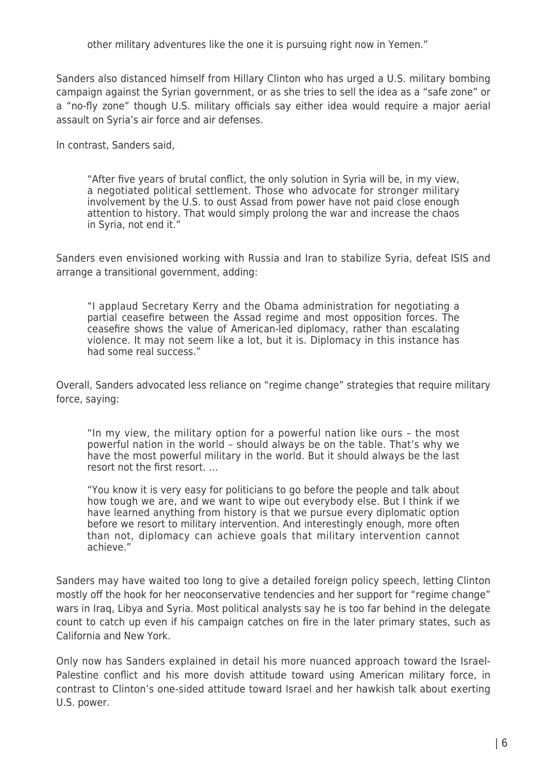other military adventures like the one it is pursuing right now in Yemen."

Sanders also distanced himself from Hillary Clinton who has urged a U.S. military bombing campaign against the Syrian government, or as she tries to sell the idea as a "safe zone" or a "no-fly zone" though U.S. military officials say either idea would require a major aerial assault on Syria's air force and air defenses.

In contrast, Sanders said,

"After five years of brutal conflict, the only solution in Syria will be, in my view, a negotiated political settlement. Those who advocate for stronger military involvement by the U.S. to oust Assad from power have not paid close enough attention to history. That would simply prolong the war and increase the chaos in Syria, not end it."

Sanders even envisioned working with Russia and Iran to stabilize Syria, defeat ISIS and arrange a transitional government, adding:

"I applaud Secretary Kerry and the Obama administration for negotiating a partial ceasefire between the Assad regime and most opposition forces. The ceasefire shows the value of American-led diplomacy, rather than escalating violence. It may not seem like a lot, but it is. Diplomacy in this instance has had some real success."

Overall, Sanders advocated less reliance on "regime change" strategies that require military force, saying:

"In my view, the military option for a powerful nation like ours – the most powerful nation in the world – should always be on the table. That's why we have the most powerful military in the world. But it should always be the last resort not the first resort. …

"You know it is very easy for politicians to go before the people and talk about how tough we are, and we want to wipe out everybody else. But I think if we have learned anything from history is that we pursue every diplomatic option before we resort to military intervention. And interestingly enough, more often than not, diplomacy can achieve goals that military intervention cannot achieve."

Sanders may have waited too long to give a detailed foreign policy speech, letting Clinton mostly off the hook for her neoconservative tendencies and her support for "regime change" wars in Iraq, Libya and Syria. Most political analysts say he is too far behind in the delegate count to catch up even if his campaign catches on fire in the later primary states, such as California and New York.

Only now has Sanders explained in detail his more nuanced approach toward the Israel-Palestine conflict and his more dovish attitude toward using American military force, in contrast to Clinton's one-sided attitude toward Israel and her hawkish talk about exerting U.S. power.